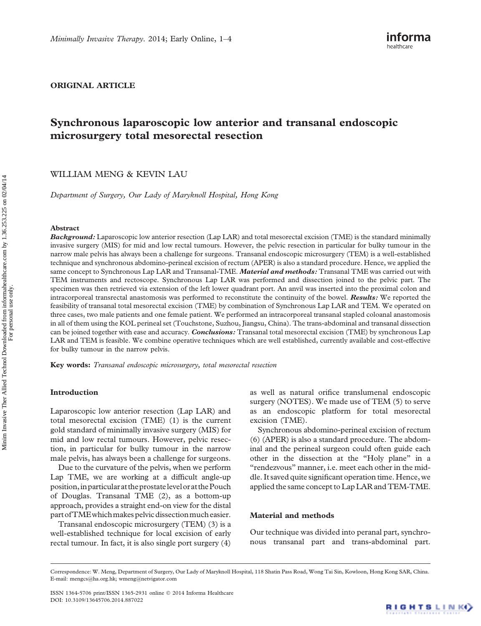ORIGINAL ARTICLE

# Synchronous laparoscopic low anterior and transanal endoscopic microsurgery total mesorectal resection

WILLIAM MENG & KEVIN LAU

Department of Surgery, Our Lady of Maryknoll Hospital, Hong Kong

## Abstract

**Background:** Laparoscopic low anterior resection (Lap LAR) and total mesorectal excision (TME) is the standard minimally invasive surgery (MIS) for mid and low rectal tumours. However, the pelvic resection in particular for bulky tumour in the narrow male pelvis has always been a challenge for surgeons. Transanal endoscopic microsurgery (TEM) is a well-established technique and synchronous abdomino-perineal excision of rectum (APER) is also a standard procedure. Hence, we applied the same concept to Synchronous Lap LAR and Transanal-TME. Material and methods: Transanal TME was carried out with TEM instruments and rectoscope. Synchronous Lap LAR was performed and dissection joined to the pelvic part. The specimen was then retrieved via extension of the left lower quadrant port. An anvil was inserted into the proximal colon and intracorporeal transrectal anastomosis was performed to reconstitute the continuity of the bowel. **Results:** We reported the feasibility of transanal total mesorectal excision (TME) by combination of Synchronous Lap LAR and TEM. We operated on three cases, two male patients and one female patient. We performed an intracorporeal transanal stapled coloanal anastomosis in all of them using the KOL perineal set (Touchstone, Suzhou, Jiangsu, China). The trans-abdominal and transanal dissection can be joined together with ease and accuracy. Conclusions: Transanal total mesorectal excision (TME) by synchronous Lap LAR and TEM is feasible. We combine operative techniques which are well established, currently available and cost-effective for bulky tumour in the narrow pelvis.

Key words: Transanal endoscopic microsurgery, total mesorectal resection

## Introduction

Laparoscopic low anterior resection (Lap LAR) and total mesorectal excision (TME) [\(1](#page-3-0)) is the current gold standard of minimally invasive surgery (MIS) for mid and low rectal tumours. However, pelvic resection, in particular for bulky tumour in the narrow male pelvis, has always been a challenge for surgeons.

Due to the curvature of the pelvis, when we perform Lap TME, we are working at a difficult angle-up position,inparticularat theprostatelevel orat thePouch of Douglas. Transanal TME [\(2\)](#page-3-0), as a bottom-up approach, provides a straight end-on view for the distal part of TME which makes pelvic dissection much easier.

Transanal endoscopic microsurgery (TEM) [\(3\)](#page-3-0) is a well-established technique for local excision of early rectal tumour. In fact, it is also single port surgery ([4\)](#page-3-0) as well as natural orifice translumenal endoscopic surgery (NOTES). We made use of TEM [\(5\)](#page-3-0) to serve as an endoscopic platform for total mesorectal excision (TME).

Synchronous abdomino-perineal excision of rectum [\(6\)](#page-3-0) (APER) is also a standard procedure. The abdominal and the perineal surgeon could often guide each other in the dissection at the "Holy plane" in a "rendezvous" manner, i.e. meet each other in the middle. It saved quite significant operation time. Hence, we applied the same concept to Lap LAR and TEM-TME.

#### Material and methods

Our technique was divided into peranal part, synchronous transanal part and trans-abdominal part.

Correspondence: W. Meng, Department of Surgery, Our Lady of Maryknoll Hospital, 118 Shatin Pass Road, Wong Tai Sin, Kowloon, Hong Kong SAR, China. E-mail: [mengcs@ha.org.hk](mailto:mengcs@ha.org.hk); [wmeng@netvigator.com](mailto:wmeng@netvigator.com)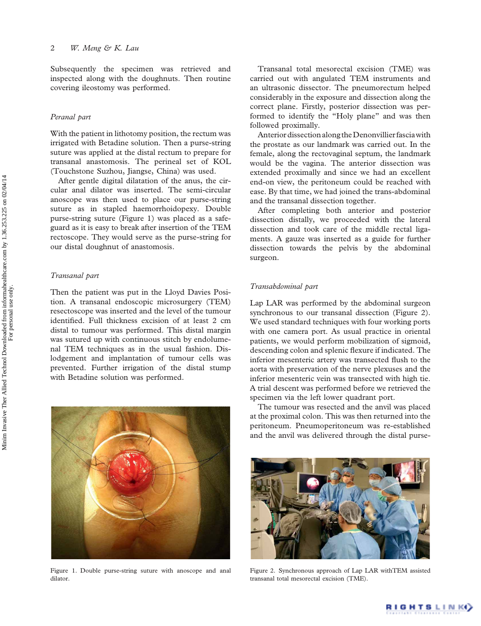Subsequently the specimen was retrieved and inspected along with the doughnuts. Then routine covering ileostomy was performed.

## Peranal part

With the patient in lithotomy position, the rectum was irrigated with Betadine solution. Then a purse-string suture was applied at the distal rectum to prepare for transanal anastomosis. The perineal set of KOL (Touchstone Suzhou, Jiangse, China) was used.

After gentle digital dilatation of the anus, the circular anal dilator was inserted. The semi-circular anoscope was then used to place our purse-string suture as in stapled haemorrhoidopexy. Double purse-string suture (Figure 1) was placed as a safeguard as it is easy to break after insertion of the TEM rectoscope. They would serve as the purse-string for our distal doughnut of anastomosis.

## Transanal part

Then the patient was put in the Lloyd Davies Position. A transanal endoscopic microsurgery (TEM) resectoscope was inserted and the level of the tumour identified. Full thickness excision of at least 2 cm distal to tumour was performed. This distal margin was sutured up with continuous stitch by endolumenal TEM techniques as in the usual fashion. Dislodgement and implantation of tumour cells was prevented. Further irrigation of the distal stump with Betadine solution was performed.



Figure 1. Double purse-string suture with anoscope and anal dilator.

Transanal total mesorectal excision (TME) was carried out with angulated TEM instruments and an ultrasonic dissector. The pneumorectum helped considerably in the exposure and dissection along the correct plane. Firstly, posterior dissection was performed to identify the "Holy plane" and was then followed proximally.

Anterior dissection along the Denonvillier fascia with the prostate as our landmark was carried out. In the female, along the rectovaginal septum, the landmark would be the vagina. The anterior dissection was extended proximally and since we had an excellent end-on view, the peritoneum could be reached with ease. By that time, we had joined the trans-abdominal and the transanal dissection together.

After completing both anterior and posterior dissection distally, we proceeded with the lateral dissection and took care of the middle rectal ligaments. A gauze was inserted as a guide for further dissection towards the pelvis by the abdominal surgeon.

#### Transabdominal part

Lap LAR was performed by the abdominal surgeon synchronous to our transanal dissection (Figure 2). We used standard techniques with four working ports with one camera port. As usual practice in oriental patients, we would perform mobilization of sigmoid, descending colon and splenic flexure if indicated. The inferior mesenteric artery was transected flush to the aorta with preservation of the nerve plexuses and the inferior mesenteric vein was transected with high tie. A trial descent was performed before we retrieved the specimen via the left lower quadrant port.

The tumour was resected and the anvil was placed at the proximal colon. This was then returned into the peritoneum. Pneumoperitoneum was re-established and the anvil was delivered through the distal purse-



Figure 2. Synchronous approach of Lap LAR withTEM assisted transanal total mesorectal excision (TME).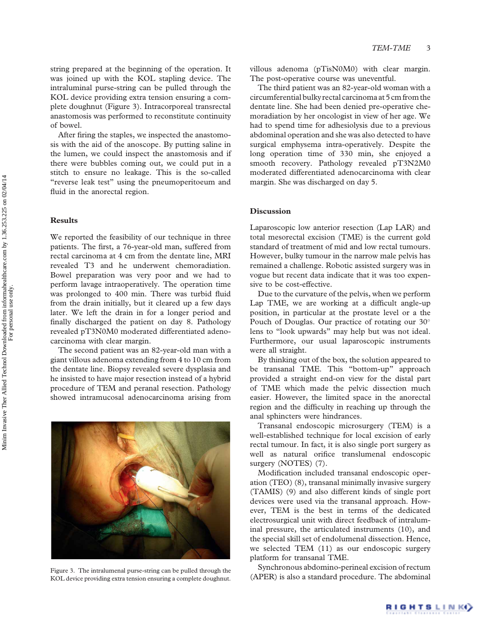string prepared at the beginning of the operation. It was joined up with the KOL stapling device. The intraluminal purse-string can be pulled through the KOL device providing extra tension ensuring a complete doughnut (Figure 3). Intracorporeal transrectal anastomosis was performed to reconstitute continuity of bowel.

After firing the staples, we inspected the anastomosis with the aid of the anoscope. By putting saline in the lumen, we could inspect the anastomosis and if there were bubbles coming out, we could put in a stitch to ensure no leakage. This is the so-called "reverse leak test" using the pneumoperitoeum and fluid in the anorectal region.

## Results

We reported the feasibility of our technique in three patients. The first, a 76-year-old man, suffered from rectal carcinoma at 4 cm from the dentate line, MRI revealed T3 and he underwent chemoradiation. Bowel preparation was very poor and we had to perform lavage intraoperatively. The operation time was prolonged to 400 min. There was turbid fluid from the drain initially, but it cleared up a few days later. We left the drain in for a longer period and finally discharged the patient on day 8. Pathology revealed pT3N0M0 moderated differentiated adenocarcinoma with clear margin.

The second patient was an 82-year-old man with a giant villous adenoma extending from 4 to 10 cm from the dentate line. Biopsy revealed severe dysplasia and he insisted to have major resection instead of a hybrid procedure of TEM and peranal resection. Pathology showed intramucosal adenocarcinoma arising from



KOL device providing extra tension ensuring a complete doughnut.

villous adenoma (pTisN0M0) with clear margin. The post-operative course was uneventful.

The third patient was an 82-year-old woman with a circumferential bulky rectal carcinoma at 5 cm from the dentate line. She had been denied pre-operative chemoradiation by her oncologist in view of her age. We had to spend time for adhesiolysis due to a previous abdominal operation and she was also detected to have surgical emphysema intra-operatively. Despite the long operation time of 330 min, she enjoyed a smooth recovery. Pathology revealed pT3N2M0 moderated differentiated adenocarcinoma with clear margin. She was discharged on day 5.

## Discussion

Laparoscopic low anterior resection (Lap LAR) and total mesorectal excision (TME) is the current gold standard of treatment of mid and low rectal tumours. However, bulky tumour in the narrow male pelvis has remained a challenge. Robotic assisted surgery was in vogue but recent data indicate that it was too expensive to be cost-effective.

Due to the curvature of the pelvis, when we perform Lap TME, we are working at a difficult angle-up position, in particular at the prostate level or a the Pouch of Douglas. Our practice of rotating our 30 lens to "look upwards" may help but was not ideal. Furthermore, our usual laparoscopic instruments were all straight.

By thinking out of the box, the solution appeared to be transanal TME. This "bottom-up" approach provided a straight end-on view for the distal part of TME which made the pelvic dissection much easier. However, the limited space in the anorectal region and the difficulty in reaching up through the anal sphincters were hindrances.

Transanal endoscopic microsurgery (TEM) is a well-established technique for local excision of early rectal tumour. In fact, it is also single port surgery as well as natural orifice translumenal endoscopic surgery (NOTES) [\(7](#page-3-0)).

Modification included transanal endoscopic operation (TEO) ([8](#page-3-0)), transanal minimally invasive surgery (TAMIS) [\(9\)](#page-3-0) and also different kinds of single port devices were used via the transanal approach. However, TEM is the best in terms of the dedicated electrosurgical unit with direct feedback of intraluminal pressure, the articulated instruments ([10\)](#page-3-0), and the special skill set of endolumenal dissection. Hence, we selected TEM ([11](#page-3-0)) as our endoscopic surgery platform for transanal TME.

Synchronous abdomino-perineal excision of rectum Figure 3. The intralumenal purse-string can be pulled through the contract to a standard procedure. The abdominal Figure 3. The abdominal Figure 3. The abdominal Figure 3. The abdominal  $APER$ ) is also a standard procedure.